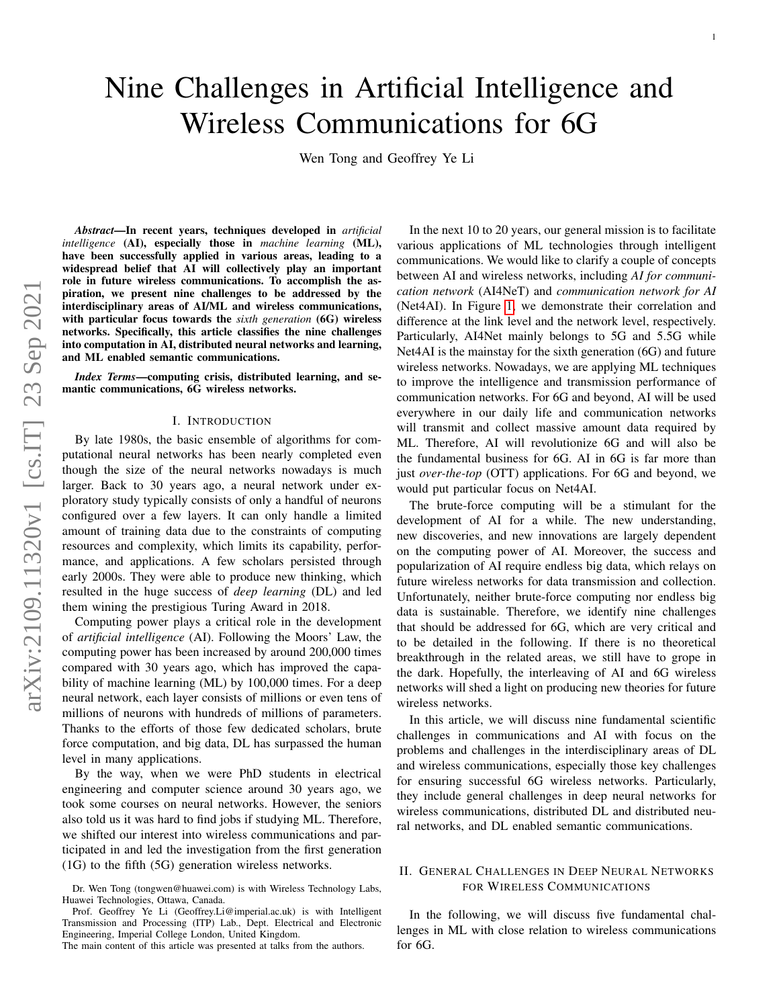Wen Tong and Geoffrey Ye Li

*Abstract*—In recent years, techniques developed in *artificial intelligence* (AI), especially those in *machine learning* (ML), have been successfully applied in various areas, leading to a widespread belief that AI will collectively play an important role in future wireless communications. To accomplish the aspiration, we present nine challenges to be addressed by the interdisciplinary areas of AI/ML and wireless communications, with particular focus towards the *sixth generation* (6G) wireless networks. Specifically, this article classifies the nine challenges into computation in AI, distributed neural networks and learning, and ML enabled semantic communications.

*Index Terms*—computing crisis, distributed learning, and semantic communications, 6G wireless networks.

### I. INTRODUCTION

By late 1980s, the basic ensemble of algorithms for computational neural networks has been nearly completed even though the size of the neural networks nowadays is much larger. Back to 30 years ago, a neural network under exploratory study typically consists of only a handful of neurons configured over a few layers. It can only handle a limited amount of training data due to the constraints of computing resources and complexity, which limits its capability, performance, and applications. A few scholars persisted through early 2000s. They were able to produce new thinking, which resulted in the huge success of *deep learning* (DL) and led them wining the prestigious Turing Award in 2018.

Computing power plays a critical role in the development of *artificial intelligence* (AI). Following the Moors' Law, the computing power has been increased by around 200,000 times compared with 30 years ago, which has improved the capability of machine learning (ML) by 100,000 times. For a deep neural network, each layer consists of millions or even tens of millions of neurons with hundreds of millions of parameters. Thanks to the efforts of those few dedicated scholars, brute force computation, and big data, DL has surpassed the human level in many applications.

By the way, when we were PhD students in electrical engineering and computer science around 30 years ago, we took some courses on neural networks. However, the seniors also told us it was hard to find jobs if studying ML. Therefore, we shifted our interest into wireless communications and participated in and led the investigation from the first generation (1G) to the fifth (5G) generation wireless networks.

In the next 10 to 20 years, our general mission is to facilitate various applications of ML technologies through intelligent communications. We would like to clarify a couple of concepts between AI and wireless networks, including *AI for communication network* (AI4NeT) and *communication network for AI* (Net4AI). In Figure [1,](#page-1-0) we demonstrate their correlation and difference at the link level and the network level, respectively. Particularly, AI4Net mainly belongs to 5G and 5.5G while Net4AI is the mainstay for the sixth generation (6G) and future wireless networks. Nowadays, we are applying ML techniques to improve the intelligence and transmission performance of communication networks. For 6G and beyond, AI will be used everywhere in our daily life and communication networks will transmit and collect massive amount data required by ML. Therefore, AI will revolutionize 6G and will also be the fundamental business for 6G. AI in 6G is far more than just *over-the-top* (OTT) applications. For 6G and beyond, we would put particular focus on Net4AI.

The brute-force computing will be a stimulant for the development of AI for a while. The new understanding, new discoveries, and new innovations are largely dependent on the computing power of AI. Moreover, the success and popularization of AI require endless big data, which relays on future wireless networks for data transmission and collection. Unfortunately, neither brute-force computing nor endless big data is sustainable. Therefore, we identify nine challenges that should be addressed for 6G, which are very critical and to be detailed in the following. If there is no theoretical breakthrough in the related areas, we still have to grope in the dark. Hopefully, the interleaving of AI and 6G wireless networks will shed a light on producing new theories for future wireless networks.

In this article, we will discuss nine fundamental scientific challenges in communications and AI with focus on the problems and challenges in the interdisciplinary areas of DL and wireless communications, especially those key challenges for ensuring successful 6G wireless networks. Particularly, they include general challenges in deep neural networks for wireless communications, distributed DL and distributed neural networks, and DL enabled semantic communications.

## II. GENERAL CHALLENGES IN DEEP NEURAL NETWORKS FOR WIRELESS COMMUNICATIONS

In the following, we will discuss five fundamental challenges in ML with close relation to wireless communications for 6G.

Dr. Wen Tong (tongwen@huawei.com) is with Wireless Technology Labs, Huawei Technologies, Ottawa, Canada.

Prof. Geoffrey Ye Li (Geoffrey.Li@imperial.ac.uk) is with Intelligent Transmission and Processing (ITP) Lab., Dept. Electrical and Electronic Engineering, Imperial College London, United Kingdom.

The main content of this article was presented at talks from the authors.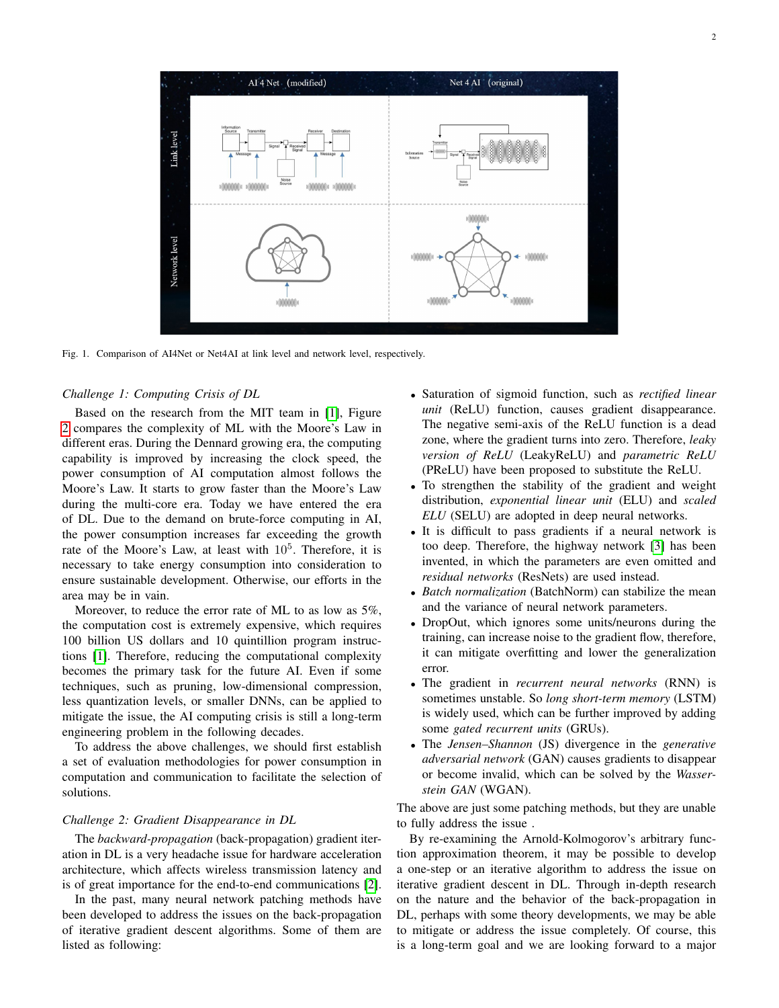

<span id="page-1-0"></span>Fig. 1. Comparison of AI4Net or Net4AI at link level and network level, respectively.

## *Challenge 1: Computing Crisis of DL*

Based on the research from the MIT team in [\[1\]](#page-5-0), Figure [2](#page-2-0) compares the complexity of ML with the Moore's Law in different eras. During the Dennard growing era, the computing capability is improved by increasing the clock speed, the power consumption of AI computation almost follows the Moore's Law. It starts to grow faster than the Moore's Law during the multi-core era. Today we have entered the era of DL. Due to the demand on brute-force computing in AI, the power consumption increases far exceeding the growth rate of the Moore's Law, at least with  $10<sup>5</sup>$ . Therefore, it is necessary to take energy consumption into consideration to ensure sustainable development. Otherwise, our efforts in the area may be in vain.

Moreover, to reduce the error rate of ML to as low as 5%, the computation cost is extremely expensive, which requires 100 billion US dollars and 10 quintillion program instructions [\[1\]](#page-5-0). Therefore, reducing the computational complexity becomes the primary task for the future AI. Even if some techniques, such as pruning, low-dimensional compression, less quantization levels, or smaller DNNs, can be applied to mitigate the issue, the AI computing crisis is still a long-term engineering problem in the following decades.

To address the above challenges, we should first establish a set of evaluation methodologies for power consumption in computation and communication to facilitate the selection of solutions.

## *Challenge 2: Gradient Disappearance in DL*

The *backward-propagation* (back-propagation) gradient iteration in DL is a very headache issue for hardware acceleration architecture, which affects wireless transmission latency and is of great importance for the end-to-end communications [\[2\]](#page-5-1).

In the past, many neural network patching methods have been developed to address the issues on the back-propagation of iterative gradient descent algorithms. Some of them are listed as following:

- Saturation of sigmoid function, such as *rectified linear unit* (ReLU) function, causes gradient disappearance. The negative semi-axis of the ReLU function is a dead zone, where the gradient turns into zero. Therefore, *leaky version of ReLU* (LeakyReLU) and *parametric ReLU* (PReLU) have been proposed to substitute the ReLU.
- To strengthen the stability of the gradient and weight distribution, *exponential linear unit* (ELU) and *scaled ELU* (SELU) are adopted in deep neural networks.
- It is difficult to pass gradients if a neural network is too deep. Therefore, the highway network [\[3\]](#page-5-2) has been invented, in which the parameters are even omitted and *residual networks* (ResNets) are used instead.
- *Batch normalization* (BatchNorm) can stabilize the mean and the variance of neural network parameters.
- DropOut, which ignores some units/neurons during the training, can increase noise to the gradient flow, therefore, it can mitigate overfitting and lower the generalization error.
- The gradient in *recurrent neural networks* (RNN) is sometimes unstable. So *long short-term memory* (LSTM) is widely used, which can be further improved by adding some *gated recurrent units* (GRUs).
- The *Jensen–Shannon* (JS) divergence in the *generative adversarial network* (GAN) causes gradients to disappear or become invalid, which can be solved by the *Wasserstein GAN* (WGAN).

The above are just some patching methods, but they are unable to fully address the issue .

By re-examining the Arnold-Kolmogorov's arbitrary function approximation theorem, it may be possible to develop a one-step or an iterative algorithm to address the issue on iterative gradient descent in DL. Through in-depth research on the nature and the behavior of the back-propagation in DL, perhaps with some theory developments, we may be able to mitigate or address the issue completely. Of course, this is a long-term goal and we are looking forward to a major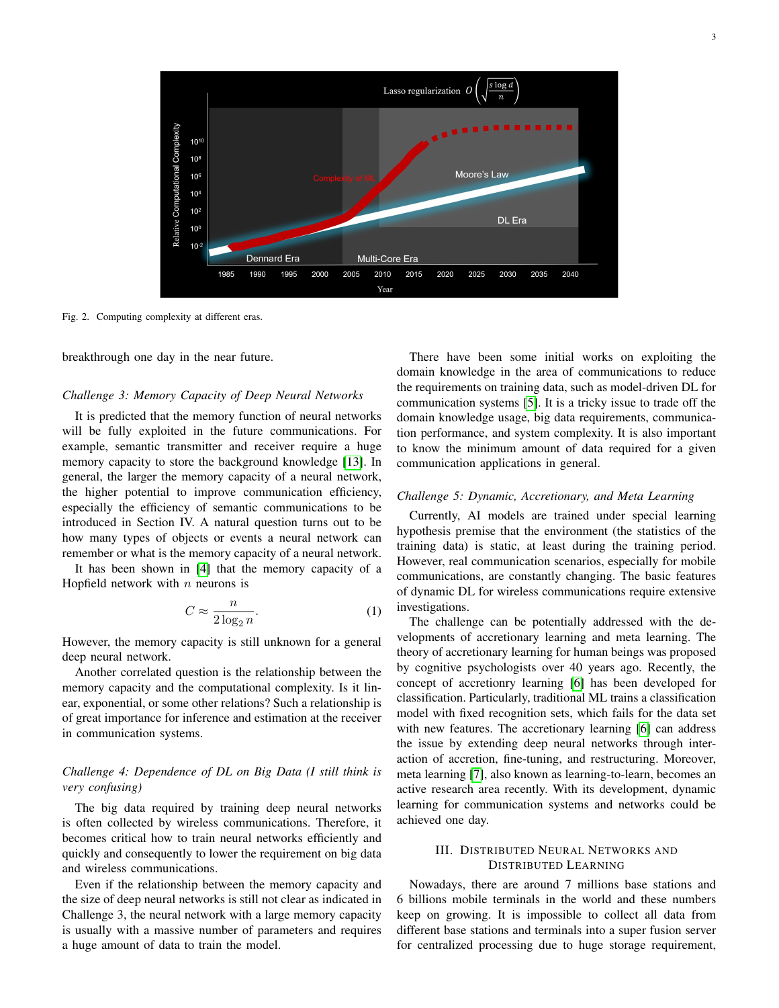

<span id="page-2-0"></span>Fig. 2. Computing complexity at different eras.

breakthrough one day in the near future.

### *Challenge 3: Memory Capacity of Deep Neural Networks*

It is predicted that the memory function of neural networks will be fully exploited in the future communications. For example, semantic transmitter and receiver require a huge memory capacity to store the background knowledge [\[13\]](#page-5-3). In general, the larger the memory capacity of a neural network, the higher potential to improve communication efficiency, especially the efficiency of semantic communications to be introduced in Section IV. A natural question turns out to be how many types of objects or events a neural network can remember or what is the memory capacity of a neural network.

It has been shown in [\[4\]](#page-5-4) that the memory capacity of a Hopfield network with  $n$  neurons is

$$
C \approx \frac{n}{2\log_2 n}.\tag{1}
$$

However, the memory capacity is still unknown for a general deep neural network.

Another correlated question is the relationship between the memory capacity and the computational complexity. Is it linear, exponential, or some other relations? Such a relationship is of great importance for inference and estimation at the receiver in communication systems.

## *Challenge 4: Dependence of DL on Big Data (I still think is very confusing)*

The big data required by training deep neural networks is often collected by wireless communications. Therefore, it becomes critical how to train neural networks efficiently and quickly and consequently to lower the requirement on big data and wireless communications.

Even if the relationship between the memory capacity and the size of deep neural networks is still not clear as indicated in Challenge 3, the neural network with a large memory capacity is usually with a massive number of parameters and requires a huge amount of data to train the model.

There have been some initial works on exploiting the domain knowledge in the area of communications to reduce the requirements on training data, such as model-driven DL for communication systems [\[5\]](#page-5-5). It is a tricky issue to trade off the domain knowledge usage, big data requirements, communication performance, and system complexity. It is also important to know the minimum amount of data required for a given communication applications in general.

### *Challenge 5: Dynamic, Accretionary, and Meta Learning*

Currently, AI models are trained under special learning hypothesis premise that the environment (the statistics of the training data) is static, at least during the training period. However, real communication scenarios, especially for mobile communications, are constantly changing. The basic features of dynamic DL for wireless communications require extensive investigations.

The challenge can be potentially addressed with the developments of accretionary learning and meta learning. The theory of accretionary learning for human beings was proposed by cognitive psychologists over 40 years ago. Recently, the concept of accretionry learning [\[6\]](#page-5-6) has been developed for classification. Particularly, traditional ML trains a classification model with fixed recognition sets, which fails for the data set with new features. The accretionary learning [\[6\]](#page-5-6) can address the issue by extending deep neural networks through interaction of accretion, fine-tuning, and restructuring. Moreover, meta learning [\[7\]](#page-5-7), also known as learning-to-learn, becomes an active research area recently. With its development, dynamic learning for communication systems and networks could be achieved one day.

## III. DISTRIBUTED NEURAL NETWORKS AND DISTRIBUTED LEARNING

Nowadays, there are around 7 millions base stations and 6 billions mobile terminals in the world and these numbers keep on growing. It is impossible to collect all data from different base stations and terminals into a super fusion server for centralized processing due to huge storage requirement,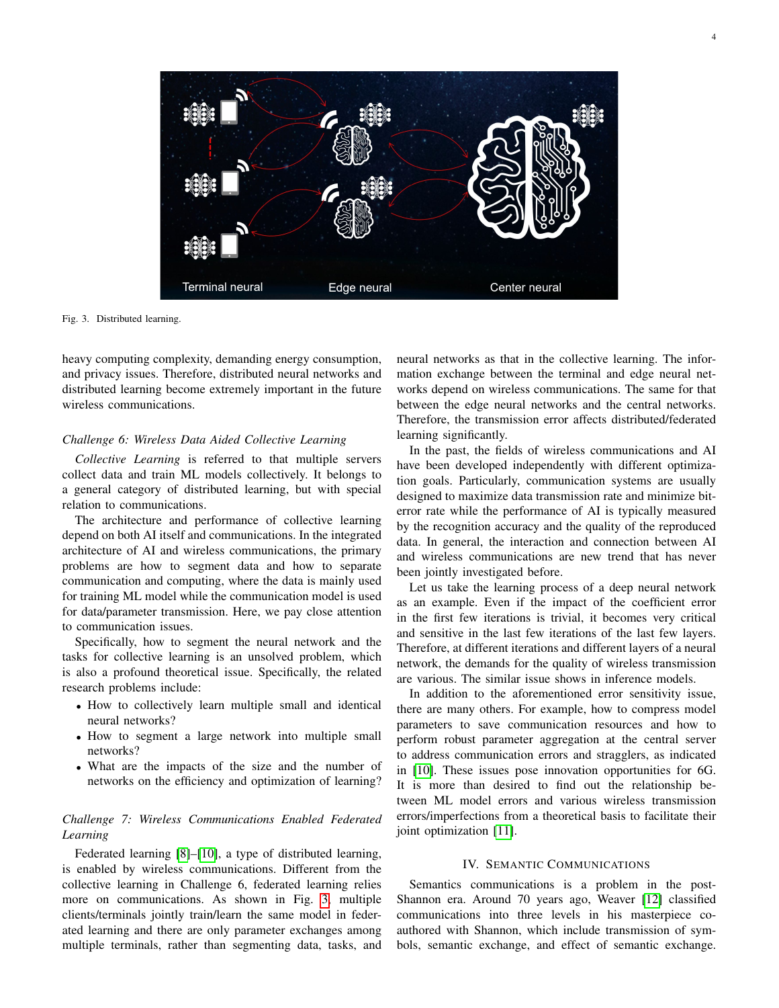

Fig. 3. Distributed learning.

<span id="page-3-0"></span>heavy computing complexity, demanding energy consumption, and privacy issues. Therefore, distributed neural networks and distributed learning become extremely important in the future wireless communications.

### *Challenge 6: Wireless Data Aided Collective Learning*

*Collective Learning* is referred to that multiple servers collect data and train ML models collectively. It belongs to a general category of distributed learning, but with special relation to communications.

The architecture and performance of collective learning depend on both AI itself and communications. In the integrated architecture of AI and wireless communications, the primary problems are how to segment data and how to separate communication and computing, where the data is mainly used for training ML model while the communication model is used for data/parameter transmission. Here, we pay close attention to communication issues.

Specifically, how to segment the neural network and the tasks for collective learning is an unsolved problem, which is also a profound theoretical issue. Specifically, the related research problems include:

- How to collectively learn multiple small and identical neural networks?
- How to segment a large network into multiple small networks?
- What are the impacts of the size and the number of networks on the efficiency and optimization of learning?

# *Challenge 7: Wireless Communications Enabled Federated Learning*

Federated learning [\[8\]](#page-5-8)–[\[10\]](#page-5-9), a type of distributed learning, is enabled by wireless communications. Different from the collective learning in Challenge 6, federated learning relies more on communications. As shown in Fig. [3,](#page-3-0) multiple clients/terminals jointly train/learn the same model in federated learning and there are only parameter exchanges among multiple terminals, rather than segmenting data, tasks, and neural networks as that in the collective learning. The information exchange between the terminal and edge neural networks depend on wireless communications. The same for that between the edge neural networks and the central networks. Therefore, the transmission error affects distributed/federated learning significantly.

In the past, the fields of wireless communications and AI have been developed independently with different optimization goals. Particularly, communication systems are usually designed to maximize data transmission rate and minimize biterror rate while the performance of AI is typically measured by the recognition accuracy and the quality of the reproduced data. In general, the interaction and connection between AI and wireless communications are new trend that has never been jointly investigated before.

Let us take the learning process of a deep neural network as an example. Even if the impact of the coefficient error in the first few iterations is trivial, it becomes very critical and sensitive in the last few iterations of the last few layers. Therefore, at different iterations and different layers of a neural network, the demands for the quality of wireless transmission are various. The similar issue shows in inference models.

In addition to the aforementioned error sensitivity issue, there are many others. For example, how to compress model parameters to save communication resources and how to perform robust parameter aggregation at the central server to address communication errors and stragglers, as indicated in [\[10\]](#page-5-9). These issues pose innovation opportunities for 6G. It is more than desired to find out the relationship between ML model errors and various wireless transmission errors/imperfections from a theoretical basis to facilitate their joint optimization [\[11\]](#page-5-10).

### IV. SEMANTIC COMMUNICATIONS

Semantics communications is a problem in the post-Shannon era. Around 70 years ago, Weaver [\[12\]](#page-5-11) classified communications into three levels in his masterpiece coauthored with Shannon, which include transmission of symbols, semantic exchange, and effect of semantic exchange.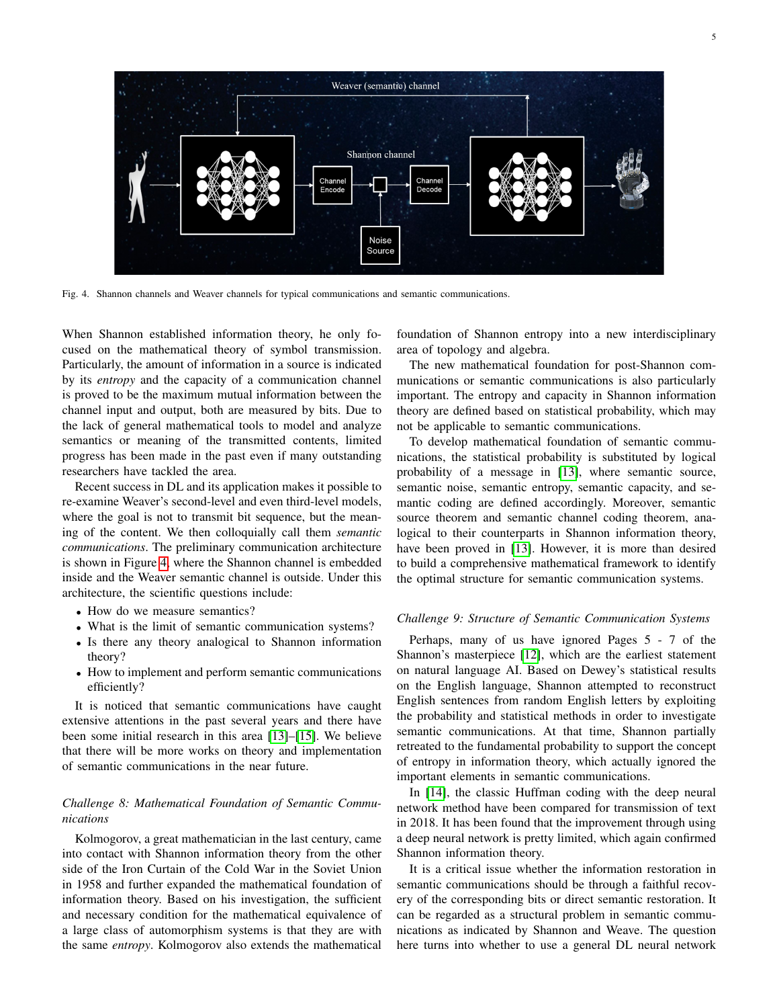

<span id="page-4-0"></span>Fig. 4. Shannon channels and Weaver channels for typical communications and semantic communications.

When Shannon established information theory, he only focused on the mathematical theory of symbol transmission. Particularly, the amount of information in a source is indicated by its *entropy* and the capacity of a communication channel is proved to be the maximum mutual information between the channel input and output, both are measured by bits. Due to the lack of general mathematical tools to model and analyze semantics or meaning of the transmitted contents, limited progress has been made in the past even if many outstanding researchers have tackled the area.

Recent success in DL and its application makes it possible to re-examine Weaver's second-level and even third-level models, where the goal is not to transmit bit sequence, but the meaning of the content. We then colloquially call them *semantic communications*. The preliminary communication architecture is shown in Figure [4,](#page-4-0) where the Shannon channel is embedded inside and the Weaver semantic channel is outside. Under this architecture, the scientific questions include:

- How do we measure semantics?
- What is the limit of semantic communication systems?
- Is there any theory analogical to Shannon information theory?
- How to implement and perform semantic communications efficiently?

It is noticed that semantic communications have caught extensive attentions in the past several years and there have been some initial research in this area [\[13\]](#page-5-3)–[\[15\]](#page-5-12). We believe that there will be more works on theory and implementation of semantic communications in the near future.

## *Challenge 8: Mathematical Foundation of Semantic Communications*

Kolmogorov, a great mathematician in the last century, came into contact with Shannon information theory from the other side of the Iron Curtain of the Cold War in the Soviet Union in 1958 and further expanded the mathematical foundation of information theory. Based on his investigation, the sufficient and necessary condition for the mathematical equivalence of a large class of automorphism systems is that they are with the same *entropy*. Kolmogorov also extends the mathematical

foundation of Shannon entropy into a new interdisciplinary area of topology and algebra.

The new mathematical foundation for post-Shannon communications or semantic communications is also particularly important. The entropy and capacity in Shannon information theory are defined based on statistical probability, which may not be applicable to semantic communications.

To develop mathematical foundation of semantic communications, the statistical probability is substituted by logical probability of a message in [\[13\]](#page-5-3), where semantic source, semantic noise, semantic entropy, semantic capacity, and semantic coding are defined accordingly. Moreover, semantic source theorem and semantic channel coding theorem, analogical to their counterparts in Shannon information theory, have been proved in [\[13\]](#page-5-3). However, it is more than desired to build a comprehensive mathematical framework to identify the optimal structure for semantic communication systems.

### *Challenge 9: Structure of Semantic Communication Systems*

Perhaps, many of us have ignored Pages 5 - 7 of the Shannon's masterpiece [\[12\]](#page-5-11), which are the earliest statement on natural language AI. Based on Dewey's statistical results on the English language, Shannon attempted to reconstruct English sentences from random English letters by exploiting the probability and statistical methods in order to investigate semantic communications. At that time, Shannon partially retreated to the fundamental probability to support the concept of entropy in information theory, which actually ignored the important elements in semantic communications.

In [\[14\]](#page-5-13), the classic Huffman coding with the deep neural network method have been compared for transmission of text in 2018. It has been found that the improvement through using a deep neural network is pretty limited, which again confirmed Shannon information theory.

It is a critical issue whether the information restoration in semantic communications should be through a faithful recovery of the corresponding bits or direct semantic restoration. It can be regarded as a structural problem in semantic communications as indicated by Shannon and Weave. The question here turns into whether to use a general DL neural network